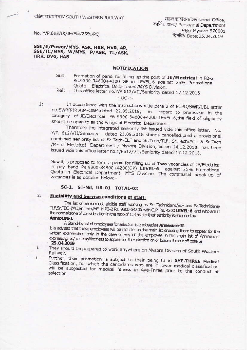दक्षिण पश्चिम रेलव/ SOUTH WESTERN RAILWAY

मंडल कार्यालय/Divisional Office, कार्मिक शाखा/ Personnel Department मैसूर/ Mysore-570001 दिनॉक/ Date: 05.04.2019

No. Y/P.608/IX/JE/Ele/25%/PQ

## SSE/E/Power/MYS, ASK, HRR, HVR, AP, SSE/TL/MYS, W/MYS, P/ASK, TL/ASK, HRR, DVG, HAS

## **NOTIFICATION**

Formation of panel for filling up the post of JE/Electrical in PB-2 Sub: Rs.9300-34800+4200 GP in LEVEL-6 against 25% Promotional Quota - Electrical Department/MYS Division. Ref:

This office letter no.Y/P.612/VII/Seniority dated:17.12.2018

### $-:-OO-:-$

In accordance with the instructions vide para 2 of PCPO/SWR/UBL letter no.SWR(P)R.484-O&M,dated 22.05.2018, in regard to promotion in the category of JE/Electrical PB 9300-34800+4200 LEVEL-6, the field of eligibility should be open to all the wings of Electrical Department.

Therefore the integrated seniority list issued vide this office letter. No. Y/P. 612/VII/Seniority dated 21.09.2018 stands cancelled., and a provisional combined seniority list of Sr. Tech/ELF and Sr. Tech/TLF, Sr. Tech/AC, & Sr. Tech /MF of Electrical Department / Mysore Division, as on 14.12.2018 has been issued vide this office letter no.Y/P612/VII/Seniority dated:17.12.2018.

Now it is proposed to form a panel for filling up of Two vacancies of JE/Electrical in pay band Rs.9300-34800+4200(GP) LEVEL-6 against 25% Promotional Quota in Electrical Department, MYS Division. The communal break-up of vacancies is as detailed below: -

# SC-1, ST-Nil, UR-01 TOTAL-02

#### **Eligibility and Service conditions of staff:**  $2:$

The list of seniormost eligible staff working as Sr. Technicians/ELF and Sr.Technicians/ TLF, Sr. TECH/AC, Sr. Tech/MF in PB-2 Rs. 9300-34800 with G.P. Rs. 4200 LEVEL-6 and who are in the normal zone of consideration in the ratio of 1:3 as per their seniority is enclosed as Annexure-I.

A Stand-by list of employees for selection is enclosed as **Annexure-II**.

It is advised that these employees will be induded in the main list enabling them to appear for the written examination only in the case of any of the employee in the main list of Amexure-I expressing his/her unwillingness to appear for the selection on or before the out off date i.e 25.04.2019

ī.

ii.

 $1:$ 

They should be prepared to work anywhere on Mysore Division of South Western Railway,

Further, their promotion is subject to their being fit in AYE-THREE Medical Classification, for which the candidates who are in lower medical classification will be subjected for medical fitness in Aye-Three prior to the conduct of selection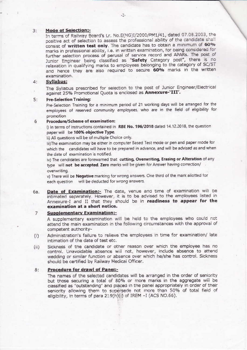#### **Mode of Selection:-** $3:$

In terms of Railway Board's Lr. No.E(NG)I/2000/PM1/41, dated 07.08.2003, the positive act of selection to assess the professional ability of the candidate shall consist of written test only. The candidate has to obtain a minimum of 60% marks in professional ability, i.e. in written examination, for being considered for further selection process of perusal of service record and APARs. The post of Junior Engineer being classified as "Safety Category post", there is no relaxation in qualifying marks to employees belonging to the category of SC/ST and hence they are also required to secure 60% marks in the written examination.

#### Syllabus:  $4:$

The Syllabus prescribed for selection to the post of Junior Engineer/Electrical against 25% Promotional Quota is enclosed as Annexure-'III'.

#### **Pre-Selection Training:**  $5.$

Pre-Selection Training for a minimum period of 21 working days will be arranged for the employees of reserved community employees, who are in the field of eligibility for promotion

#### Procedure/Scheme of examination: 6

i) In terms of instructions contained in RBE No. 196/2018 dated 14.12.2018, the question paper will be 100% objective Type.

Ii) All questions will be of multiple Choice only.

iii)The examination may be either in computer Based Test mode or pen and paper mode for which the candidates will have to be prepared in advance, and will be advised as and when the date of examination is notified.

iv) The candidates are forewarned that cutting, Overwriting, Erasing or Alteration of any type will not be accepted. Zero marks will be given for Answer having correction/ overwriting.

v) There will be Negative marking for wrong answers. One third of the mark allotted for each question will be deducted for wrong answers.

Date of Examination:- The date, venue and time of examination will be 6а. intimated separately. However, it is to be advised to the employees listed in Annexure-I and II that they should be in readiness to appear for the examination at a short notice.

#### **Supplementary Examination:** 7

A supplementary examination will be held to the employees who could not attend the main examination in the following circumstances with the approval of competent authority-

- Administration's failure to relieve the employees in time for examination/ late  $(i)$ intimation of the date of test etc.
- Sickness of the candidate or other reason over which the employee has no  $(ii)$ control. Unavoidable absence will not, however, include absence to attend wedding or similar function or absence over which he/she has control. Sickness should be certified by Railway Medical Officer.

#### Procedure for drawl of Panel:- $8:$

The names of the selected candidates will be arranged in the order of seniority but those securing a total of 80% or more marks in the aggregate will be classified as "outstanding" and placed in the panel appropriately in order of their seniority allowing them to supersede not more than 50% of total field of eligibility, in terms of para 219(h)(i) of IREM -I (ACS NO.66).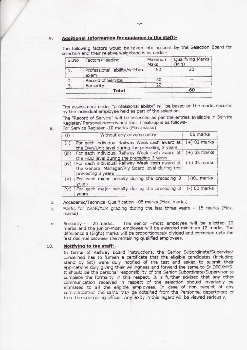#### Additional Information for guidance to the staff:- $9:$

**Oualifying Marks** Maximum SI.No Factors/Heading Maks  $(Min)$ 30 50  $1.$ Professional ability/written exam 30 Record of Service 2. 20 З. Seniority 60 Total

The following factors would be taken into account by the Selection Board for selection and their relative weightage is as under-

The assessment under "professional ability" will be based on the marks secured by the individual employee held as part of the selection.

The "Record of Service" will be assessed as per the entries available in Service Register/ Personal records and their break-up is as follows-

For Service Register -10 marks (Max.marks)  $\ddot{a}$ .

| (i)   | Without any adverse entry                                                                                                            | 06 marks       |
|-------|--------------------------------------------------------------------------------------------------------------------------------------|----------------|
| (ii)  | For each individual Railway Week cash award at<br>the Divn/Unit level during the preceding 3 years.                                  | $(+)$ 02 marks |
| (iii) | For each individual Railway Week cash award at   (+) 03 marks<br>the HOD level during the preceding 3 years                          |                |
| (iv)  | For each individual Railway Week cash award at   (+) 04 marks<br>the General Manager/Rly Board level during the<br>preceding 3 years |                |
| (v)   | For each minor penalty during the preceding 3<br>years                                                                               | $(-)01$ marks  |
| (vi)  | For each major penalty during the preceding 3   (-) 02 marks<br>vears                                                                |                |

- Accademic/Technical Qualification 05 marks (Max. marks) b.
- Marks for APAR/ACR grading during the last three years 15 marks (Max. c. marks)
- The senior -most employee will be allotted 20 20 marks. d. Seniority marks and the junior-most employee will be awarded minimum 12 marks. The difference 8 (Eight) marks will be proportionately divided and corrected upto the first decimal between the remaining qualified employees.

#### 10. Notifying to the staff:-

In terms of Railway Board instructions, the Senior Subordinate/Supervisor concerned has to furnish a certificate that the eligible candidates (including stand by list) were duly notified of the test and asked to submit their applications duly giving their willingness and forward the same to Sr.DPO/MYS. It should be the personal responsibility of the Senior Subordinate/Supervisor to complete the formality in this respect. It is further advised that any other communication received in respect of the selection should invariably be intimated to all the eligible employees. In case of non receipt of any communication the same may be obtained from the Personnel department or from the Controlling Officer. Any laxity in this regard will be viewed seriously.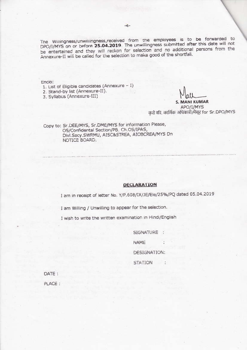The Willingness/unwillingness, received from the employees is to be forwarded to DPO/I/MYS on or before 25.04.2019. The unwillingness submitted after this date will not be entertained and they will reckon for selection and no additional persons from the Annexure-II will be called for the selection to make good of the shortfall.

Fnclo:

1. List of Eligible candidates (Annexure - I)

2. Stand-by list (Annexure-II).

3. Syllabus (Annexure-III)

**S. MANI KUMAR** APO/I/MYS कते वरि, कार्मिक अधिकारी/मैसूर for Sr.DPO/MYS

Copy to: Sr.DEE/MYS, Sr.DME/MYS for information Please, OS/Confidental Section/PB, Ch.OS/IPAS, Divl.Secy.SWRMU, AISC&STREA, AIOBCREA/MYS Dn NOTICE BOARD.

## DECLARATION

I am in receipt of letter No. Y/P.608/IX/JE/Ele/25%/PQ dated 05.04.2019

I am Willing / Unwilling to appear for the selection.

I wish to write the written examination in Hindi/English

SIGNATURE : NAME DESIGNATION: **STATION**  $\sim$   $\sim$ 

DATE: PLACE: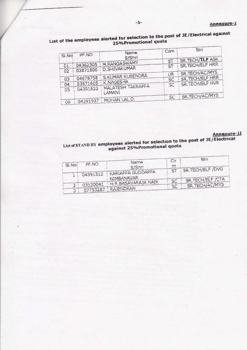|       |          |                   | Com | Stn                    |
|-------|----------|-------------------|-----|------------------------|
| SI.No | PF.NO    | Name<br>S/Shri    |     |                        |
|       |          | M.RANGASWAMY      | ST  | <b>SR.TECH/TLF ASK</b> |
| 01    | 04362305 | D.SHIVAKUMAR      | ST  | SR. TECH/ELF HRR       |
| 02    | 03871800 |                   |     | SR.TECH/AC/MYS         |
| 03    | 04678758 | S.KUMAR KUBENDRA  | UR  | SR.TECH/ELF HRR        |
| 04    | 03871605 | K.NAGESHA         | SC  | SR. TECH/ELF HVR       |
| 05    | 04391822 | MALATESH TAKRAPPA | SC  |                        |
|       |          | LAMANI            | SC  | SR.TECH/AC/MYS         |
| 06    | 04391937 | MOHAN LAL.D.      |     |                        |

# List of the employees alerted for selection to the post of JE/Electrical against<br>25%Promotional quota

# Annexure-II

# List of STAND BY employees alerted for selection to the post of JE/Electrical<br>against 25%Promotional quota

|       |          |                                    | Co | Stn              |
|-------|----------|------------------------------------|----|------------------|
| SI.No | PF NO    | Name.<br>S/Shri                    | m  |                  |
|       | 04391512 | KARIAPPA GUDDAPPA                  | ST | SR.TECH/ELF /DVG |
|       |          | NIMBANAVAR<br>H.R. BASAVARAJA NAIK | SC | SR.TECH/ELF /CTA |
|       | 03120041 |                                    | SC | SR.TECH/AC/MYS   |
| з     | 07753287 | RAJENDRAN                          |    |                  |